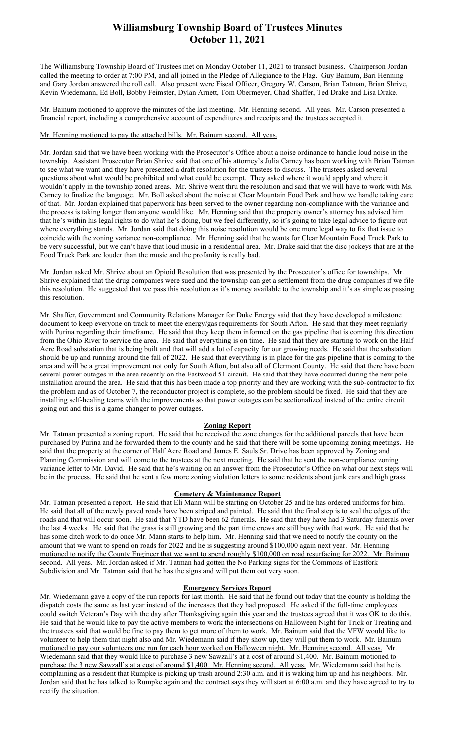## Williamsburg Township Board of Trustees Minutes October 11, 2021

The Williamsburg Township Board of Trustees met on Monday October 11, 2021 to transact business. Chairperson Jordan called the meeting to order at 7:00 PM, and all joined in the Pledge of Allegiance to the Flag. Guy Bainum, Bari Henning and Gary Jordan answered the roll call. Also present were Fiscal Officer, Gregory W. Carson, Brian Tatman, Brian Shrive, Kevin Wiedemann, Ed Boll, Bobby Feimster, Dylan Arnett, Tom Obermeyer, Chad Shaffer, Ted Drake and Lisa Drake.

Mr. Bainum motioned to approve the minutes of the last meeting. Mr. Henning second. All yeas. Mr. Carson presented a financial report, including a comprehensive account of expenditures and receipts and the trustees accepted it.

Mr. Henning motioned to pay the attached bills. Mr. Bainum second. All yeas.

Mr. Jordan said that we have been working with the Prosecutor's Office about a noise ordinance to handle loud noise in the township. Assistant Prosecutor Brian Shrive said that one of his attorney's Julia Carney has been working with Brian Tatman to see what we want and they have presented a draft resolution for the trustees to discuss. The trustees asked several questions about what would be prohibited and what could be exempt. They asked where it would apply and where it wouldn't apply in the township zoned areas. Mr. Shrive went thru the resolution and said that we will have to work with Ms. Carney to finalize the language. Mr. Boll asked about the noise at Clear Mountain Food Park and how we handle taking care of that. Mr. Jordan explained that paperwork has been served to the owner regarding non-compliance with the variance and the process is taking longer than anyone would like. Mr. Henning said that the property owner's attorney has advised him that he's within his legal rights to do what he's doing, but we feel differently, so it's going to take legal advice to figure out where everything stands. Mr. Jordan said that doing this noise resolution would be one more legal way to fix that issue to coincide with the zoning variance non-compliance. Mr. Henning said that he wants for Clear Mountain Food Truck Park to be very successful, but we can't have that loud music in a residential area. Mr. Drake said that the disc jockeys that are at the Food Truck Park are louder than the music and the profanity is really bad.

Mr. Jordan asked Mr. Shrive about an Opioid Resolution that was presented by the Prosecutor's office for townships. Mr. Shrive explained that the drug companies were sued and the township can get a settlement from the drug companies if we file this resolution. He suggested that we pass this resolution as it's money available to the township and it's as simple as passing this resolution.

Mr. Shaffer, Government and Community Relations Manager for Duke Energy said that they have developed a milestone document to keep everyone on track to meet the energy/gas requirements for South Afton. He said that they meet regularly with Purina regarding their timeframe. He said that they keep them informed on the gas pipeline that is coming this direction from the Ohio River to service the area. He said that everything is on time. He said that they are starting to work on the Half Acre Road substation that is being built and that will add a lot of capacity for our growing needs. He said that the substation should be up and running around the fall of 2022. He said that everything is in place for the gas pipeline that is coming to the area and will be a great improvement not only for South Afton, but also all of Clermont County. He said that there have been several power outages in the area recently on the Eastwood 51 circuit. He said that they have occurred during the new pole installation around the area. He said that this has been made a top priority and they are working with the sub-contractor to fix the problem and as of October 7, the reconductor project is complete, so the problem should be fixed. He said that they are installing self-healing teams with the improvements so that power outages can be sectionalized instead of the entire circuit going out and this is a game changer to power outages.

### Zoning Report

Mr. Tatman presented a zoning report. He said that he received the zone changes for the additional parcels that have been purchased by Purina and he forwarded them to the county and he said that there will be some upcoming zoning meetings. He said that the property at the corner of Half Acre Road and James E. Sauls Sr. Drive has been approved by Zoning and Planning Commission and will come to the trustees at the next meeting. He said that he sent the non-compliance zoning variance letter to Mr. David. He said that he's waiting on an answer from the Prosecutor's Office on what our next steps will be in the process. He said that he sent a few more zoning violation letters to some residents about junk cars and high grass.

### Cemetery & Maintenance Report

Mr. Tatman presented a report. He said that Eli Mann will be starting on October 25 and he has ordered uniforms for him. He said that all of the newly paved roads have been striped and painted. He said that the final step is to seal the edges of the roads and that will occur soon. He said that YTD have been 62 funerals. He said that they have had 3 Saturday funerals over the last 4 weeks. He said that the grass is still growing and the part time crews are still busy with that work. He said that he has some ditch work to do once Mr. Mann starts to help him. Mr. Henning said that we need to notify the county on the amount that we want to spend on roads for 2022 and he is suggesting around \$100,000 again next year. Mr. Henning motioned to notify the County Engineer that we want to spend roughly \$100,000 on road resurfacing for 2022. Mr. Bainum second. All yeas. Mr. Jordan asked if Mr. Tatman had gotten the No Parking signs for the Commons of Eastfork Subdivision and Mr. Tatman said that he has the signs and will put them out very soon.

### Emergency Services Report

Mr. Wiedemann gave a copy of the run reports for last month. He said that he found out today that the county is holding the dispatch costs the same as last year instead of the increases that they had proposed. He asked if the full-time employees could switch Veteran's Day with the day after Thanksgiving again this year and the trustees agreed that it was OK to do this. He said that he would like to pay the active members to work the intersections on Halloween Night for Trick or Treating and the trustees said that would be fine to pay them to get more of them to work. Mr. Bainum said that the VFW would like to volunteer to help them that night also and Mr. Wiedemann said if they show up, they will put them to work. Mr. Bainum motioned to pay our volunteers one run for each hour worked on Halloween night. Mr. Henning second. All yeas. Mr. Wiedemann said that they would like to purchase 3 new Sawzall's at a cost of around \$1,400. Mr. Bainum motioned to purchase the 3 new Sawzall's at a cost of around \$1,400. Mr. Henning second. All yeas. Mr. Wiedemann said that he is complaining as a resident that Rumpke is picking up trash around 2:30 a.m. and it is waking him up and his neighbors. Mr. Jordan said that he has talked to Rumpke again and the contract says they will start at 6:00 a.m. and they have agreed to try to rectify the situation.